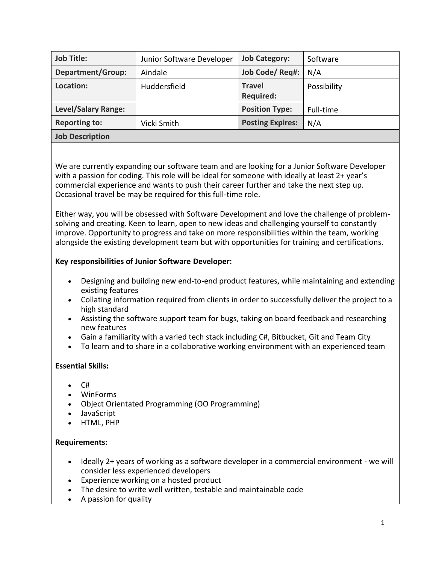| <b>Job Title:</b>          | Junior Software Developer | <b>Job Category:</b>              | Software    |
|----------------------------|---------------------------|-----------------------------------|-------------|
| Department/Group:          | Aindale                   | Job Code/ Req#:                   | N/A         |
| Location:                  | Huddersfield              | <b>Travel</b><br><b>Required:</b> | Possibility |
| <b>Level/Salary Range:</b> |                           | <b>Position Type:</b>             | Full-time   |
| <b>Reporting to:</b>       | Vicki Smith               | <b>Posting Expires:</b>           | N/A         |
| Job Description            |                           |                                   |             |

We are currently expanding our software team and are looking for a Junior Software Developer with a passion for coding. This role will be ideal for someone with ideally at least 2+ year's commercial experience and wants to push their career further and take the next step up. Occasional travel be may be required for this full-time role.

Either way, you will be obsessed with Software Development and love the challenge of problemsolving and creating. Keen to learn, open to new ideas and challenging yourself to constantly improve. Opportunity to progress and take on more responsibilities within the team, working alongside the existing development team but with opportunities for training and certifications.

## **Key responsibilities of Junior Software Developer:**

- Designing and building new end-to-end product features, while maintaining and extending existing features
- Collating information required from clients in order to successfully deliver the project to a high standard
- Assisting the software support team for bugs, taking on board feedback and researching new features
- Gain a familiarity with a varied tech stack including C#, Bitbucket, Git and Team City
- To learn and to share in a collaborative working environment with an experienced team

## **Essential Skills:**

- C#
- WinForms
- Object Orientated Programming (OO Programming)
- JavaScript
- HTML, PHP

## **Requirements:**

- Ideally 2+ years of working as a software developer in a commercial environment we will consider less experienced developers
- Experience working on a hosted product
- The desire to write well written, testable and maintainable code
- A passion for quality